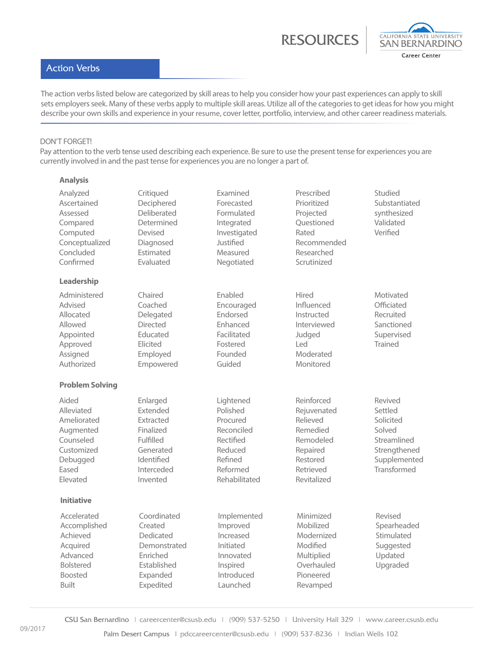RESOURCE



## Action Verbs

The action verbs listed below are categorized by skill areas to help you consider how your past experiences can apply to skill sets employers seek. Many of these verbs apply to multiple skill areas. Utilize all of the categories to get ideas for how you might describe your own skills and experience in your resume, cover letter, portfolio, interview, and other career readiness materials.

## DON'T FORGET!

**Analysis**

Pay attention to the verb tense used describing each experience. Be sure to use the present tense for experiences you are currently involved in and the past tense for experiences you are no longer a part of.

| Analyzed<br>Ascertained<br>Assessed<br>Compared<br>Computed<br>Conceptualized<br>Concluded<br>Confirmed               | Critiqued<br>Deciphered<br>Deliberated<br>Determined<br>Devised<br>Diagnosed<br>Estimated<br>Evaluated           | Examined<br>Forecasted<br>Formulated<br>Integrated<br>Investigated<br>Justified<br>Measured<br>Negotiated       | Prescribed<br>Prioritized<br>Projected<br>Questioned<br>Rated<br>Recommended<br>Researched<br>Scrutinized          | Studied<br>Substantiated<br>synthesized<br>Validated<br>Verified                                        |
|-----------------------------------------------------------------------------------------------------------------------|------------------------------------------------------------------------------------------------------------------|-----------------------------------------------------------------------------------------------------------------|--------------------------------------------------------------------------------------------------------------------|---------------------------------------------------------------------------------------------------------|
| Leadership                                                                                                            |                                                                                                                  |                                                                                                                 |                                                                                                                    |                                                                                                         |
| Administered<br>Advised<br>Allocated<br>Allowed<br>Appointed<br>Approved<br>Assigned<br>Authorized                    | Chaired<br>Coached<br>Delegated<br><b>Directed</b><br>Educated<br>Elicited<br>Employed<br>Empowered              | Enabled<br>Encouraged<br>Endorsed<br>Enhanced<br>Facilitated<br>Fostered<br>Founded<br>Guided                   | Hired<br>Influenced<br>Instructed<br>Interviewed<br>Judged<br>Led<br>Moderated<br>Monitored                        | Motivated<br>Officiated<br>Recruited<br>Sanctioned<br>Supervised<br><b>Trained</b>                      |
| <b>Problem Solving</b>                                                                                                |                                                                                                                  |                                                                                                                 |                                                                                                                    |                                                                                                         |
| Aided<br>Alleviated<br>Ameliorated<br>Augmented<br>Counseled<br>Customized<br>Debugged<br>Eased<br>Elevated           | Enlarged<br>Extended<br>Extracted<br>Finalized<br>Fulfilled<br>Generated<br>Identified<br>Interceded<br>Invented | Lightened<br>Polished<br>Procured<br>Reconciled<br>Rectified<br>Reduced<br>Refined<br>Reformed<br>Rehabilitated | Reinforced<br>Rejuvenated<br>Relieved<br>Remedied<br>Remodeled<br>Repaired<br>Restored<br>Retrieved<br>Revitalized | Revived<br>Settled<br>Solicited<br>Solved<br>Streamlined<br>Strengthened<br>Supplemented<br>Transformed |
| <b>Initiative</b>                                                                                                     |                                                                                                                  |                                                                                                                 |                                                                                                                    |                                                                                                         |
| Accelerated<br>Accomplished<br>Achieved<br>Acquired<br>Advanced<br><b>Bolstered</b><br><b>Boosted</b><br><b>Built</b> | Coordinated<br>Created<br>Dedicated<br>Demonstrated<br>Enriched<br>Established<br>Expanded<br>Expedited          | Implemented<br>Improved<br>Increased<br>Initiated<br>Innovated<br>Inspired<br>Introduced<br>Launched            | Minimized<br>Mobilized<br>Modernized<br>Modified<br>Multiplied<br>Overhauled<br>Pioneered<br>Revamped              | Revised<br>Spearheaded<br>Stimulated<br>Suggested<br>Updated<br>Upgraded                                |

CSU San Bernardino | careercenter@csusb.edu | (909) 537-5250 | University Hall 329 | www.career.csusb.edu